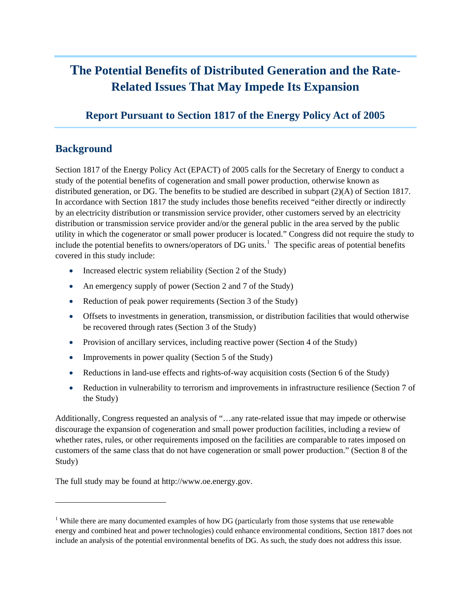# **The Potential Benefits of Distributed Generation and the Rate-Related Issues That May Impede Its Expansion**

## **Report Pursuant to Section 1817 of the Energy Policy Act of 2005**

#### **Background**

1

Section 1817 of the Energy Policy Act (EPACT) of 2005 calls for the Secretary of Energy to conduct a study of the potential benefits of cogeneration and small power production, otherwise known as distributed generation, or DG. The benefits to be studied are described in subpart (2)(A) of Section 1817. In accordance with Section 1817 the study includes those benefits received "either directly or indirectly by an electricity distribution or transmission service provider, other customers served by an electricity distribution or transmission service provider and/or the general public in the area served by the public utility in which the cogenerator or small power producer is located." Congress did not require the study to include the potential benefits to owners/operators of DG units.<sup>[1](#page-0-0)</sup> The specific areas of potential benefits covered in this study include:

- Increased electric system reliability (Section 2 of the Study)
- An emergency supply of power (Section 2 and 7 of the Study)
- Reduction of peak power requirements (Section 3 of the Study)
- Offsets to investments in generation, transmission, or distribution facilities that would otherwise be recovered through rates (Section 3 of the Study)
- Provision of ancillary services, including reactive power (Section 4 of the Study)
- Improvements in power quality (Section 5 of the Study)
- Reductions in land-use effects and rights-of-way acquisition costs (Section 6 of the Study)
- Reduction in vulnerability to terrorism and improvements in infrastructure resilience (Section 7 of the Study)

Additionally, Congress requested an analysis of "…any rate-related issue that may impede or otherwise discourage the expansion of cogeneration and small power production facilities, including a review of whether rates, rules, or other requirements imposed on the facilities are comparable to rates imposed on customers of the same class that do not have cogeneration or small power production." (Section 8 of the Study)

The full study may be found at http://www.oe.energy.gov.

<span id="page-0-0"></span><sup>&</sup>lt;sup>1</sup> While there are many documented examples of how DG (particularly from those systems that use renewable energy and combined heat and power technologies) could enhance environmental conditions, Section 1817 does not include an analysis of the potential environmental benefits of DG. As such, the study does not address this issue.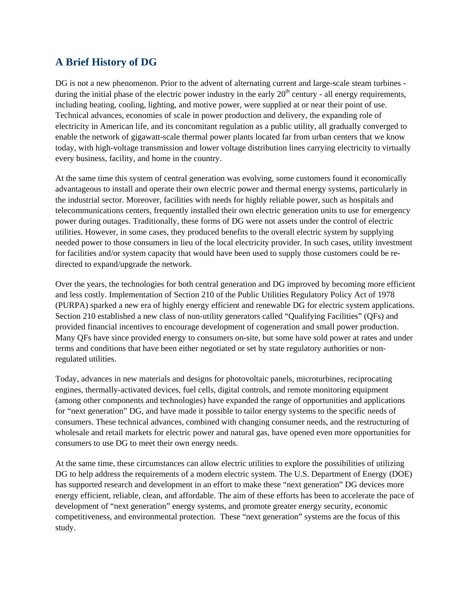## **A Brief History of DG**

DG is not a new phenomenon. Prior to the advent of alternating current and large-scale steam turbines during the initial phase of the electric power industry in the early  $20<sup>th</sup>$  century - all energy requirements, including heating, cooling, lighting, and motive power, were supplied at or near their point of use. Technical advances, economies of scale in power production and delivery, the expanding role of electricity in American life, and its concomitant regulation as a public utility, all gradually converged to enable the network of gigawatt-scale thermal power plants located far from urban centers that we know today, with high-voltage transmission and lower voltage distribution lines carrying electricity to virtually every business, facility, and home in the country.

At the same time this system of central generation was evolving, some customers found it economically advantageous to install and operate their own electric power and thermal energy systems, particularly in the industrial sector. Moreover, facilities with needs for highly reliable power, such as hospitals and telecommunications centers, frequently installed their own electric generation units to use for emergency power during outages. Traditionally, these forms of DG were not assets under the control of electric utilities. However, in some cases, they produced benefits to the overall electric system by supplying needed power to those consumers in lieu of the local electricity provider. In such cases, utility investment for facilities and/or system capacity that would have been used to supply those customers could be redirected to expand/upgrade the network.

Over the years, the technologies for both central generation and DG improved by becoming more efficient and less costly. Implementation of Section 210 of the Public Utilities Regulatory Policy Act of 1978 (PURPA) sparked a new era of highly energy efficient and renewable DG for electric system applications. Section 210 established a new class of non-utility generators called "Qualifying Facilities" (QFs) and provided financial incentives to encourage development of cogeneration and small power production. Many QFs have since provided energy to consumers on-site, but some have sold power at rates and under terms and conditions that have been either negotiated or set by state regulatory authorities or nonregulated utilities.

Today, advances in new materials and designs for photovoltaic panels, microturbines, reciprocating engines, thermally-activated devices, fuel cells, digital controls, and remote monitoring equipment (among other components and technologies) have expanded the range of opportunities and applications for "next generation" DG, and have made it possible to tailor energy systems to the specific needs of consumers. These technical advances, combined with changing consumer needs, and the restructuring of wholesale and retail markets for electric power and natural gas, have opened even more opportunities for consumers to use DG to meet their own energy needs.

At the same time, these circumstances can allow electric utilities to explore the possibilities of utilizing DG to help address the requirements of a modern electric system. The U.S. Department of Energy (DOE) has supported research and development in an effort to make these "next generation" DG devices more energy efficient, reliable, clean, and affordable. The aim of these efforts has been to accelerate the pace of development of "next generation" energy systems, and promote greater energy security, economic competitiveness, and environmental protection. These "next generation" systems are the focus of this study.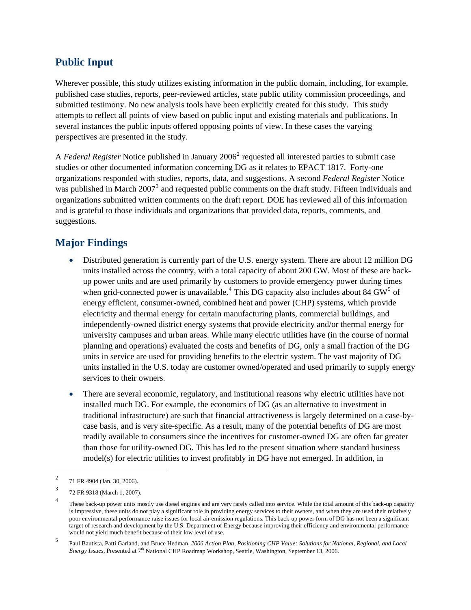## **Public Input**

Wherever possible, this study utilizes existing information in the public domain, including, for example, published case studies, reports, peer-reviewed articles, state public utility commission proceedings, and submitted testimony. No new analysis tools have been explicitly created for this study. This study attempts to reflect all points of view based on public input and existing materials and publications. In several instances the public inputs offered opposing points of view. In these cases the varying perspectives are presented in the study.

A *Federal Register* Notice published in January [2](#page-2-0)006<sup>2</sup> requested all interested parties to submit case studies or other documented information concerning DG as it relates to EPACT 1817. Forty-one organizations responded with studies, reports, data, and suggestions. A second *Federal Register* Notice was published in March 2007<sup>[3](#page-2-1)</sup> and requested public comments on the draft study. Fifteen individuals and organizations submitted written comments on the draft report. DOE has reviewed all of this information and is grateful to those individuals and organizations that provided data, reports, comments, and suggestions.

## **Major Findings**

- Distributed generation is currently part of the U.S. energy system. There are about 12 million DG units installed across the country, with a total capacity of about 200 GW. Most of these are backup power units and are used primarily by customers to provide emergency power during times when grid-connected power is unavailable.<sup>[4](#page-2-2)</sup> This DG capacity also includes about 84 GW<sup>[5](#page-2-3)</sup> of energy efficient, consumer-owned, combined heat and power (CHP) systems, which provide electricity and thermal energy for certain manufacturing plants, commercial buildings, and independently-owned district energy systems that provide electricity and/or thermal energy for university campuses and urban areas. While many electric utilities have (in the course of normal planning and operations) evaluated the costs and benefits of DG, only a small fraction of the DG units in service are used for providing benefits to the electric system. The vast majority of DG units installed in the U.S. today are customer owned/operated and used primarily to supply energy services to their owners.
- There are several economic, regulatory, and institutional reasons why electric utilities have not installed much DG. For example, the economics of DG (as an alternative to investment in traditional infrastructure) are such that financial attractiveness is largely determined on a case-bycase basis, and is very site-specific. As a result, many of the potential benefits of DG are most readily available to consumers since the incentives for customer-owned DG are often far greater than those for utility-owned DG. This has led to the present situation where standard business model(s) for electric utilities to invest profitably in DG have not emerged. In addition, in

1

<span id="page-2-0"></span><sup>2</sup> 71 FR 4904 (Jan. 30, 2006).

<span id="page-2-1"></span><sup>3</sup> 72 FR 9318 (March 1, 2007).

<span id="page-2-2"></span><sup>4</sup> These back-up power units mostly use diesel engines and are very rarely called into service. While the total amount of this back-up capacity is impressive, these units do not play a significant role in providing energy services to their owners, and when they are used their relatively poor environmental performance raise issues for local air emission regulations. This back-up power form of DG has not been a significant target of research and development by the U.S. Department of Energy because improving their efficiency and environmental performance would not yield much benefit because of their low level of use.

<span id="page-2-3"></span><sup>5</sup> Paul Bautista, Patti Garland, and Bruce Hedman, *2006 Action Plan, Positioning CHP Value: Solutions for National, Regional, and Local Energy Issues, Presented at 7<sup>th</sup> National CHP Roadmap Workshop, Seattle, Washington, September 13, 2006.*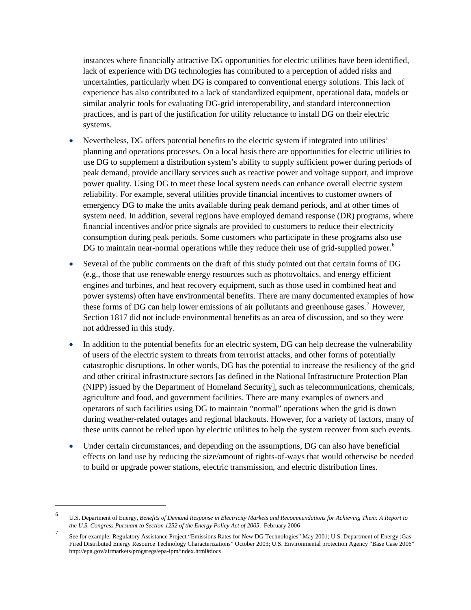instances where financially attractive DG opportunities for electric utilities have been identified, lack of experience with DG technologies has contributed to a perception of added risks and uncertainties, particularly when DG is compared to conventional energy solutions. This lack of experience has also contributed to a lack of standardized equipment, operational data, models or similar analytic tools for evaluating DG-grid interoperability, and standard interconnection practices, and is part of the justification for utility reluctance to install DG on their electric systems.

- Nevertheless, DG offers potential benefits to the electric system if integrated into utilities' planning and operations processes. On a local basis there are opportunities for electric utilities to use DG to supplement a distribution system's ability to supply sufficient power during periods of peak demand, provide ancillary services such as reactive power and voltage support, and improve power quality. Using DG to meet these local system needs can enhance overall electric system reliability. For example, several utilities provide financial incentives to customer owners of emergency DG to make the units available during peak demand periods, and at other times of system need. In addition, several regions have employed demand response (DR) programs, where financial incentives and/or price signals are provided to customers to reduce their electricity consumption during peak periods. Some customers who participate in these programs also use DG to maintain near-normal operations while they reduce their use of grid-supplied power.<sup>[6](#page-3-0)</sup>
- Several of the public comments on the draft of this study pointed out that certain forms of DG (e.g., those that use renewable energy resources such as photovoltaics, and energy efficient engines and turbines, and heat recovery equipment, such as those used in combined heat and power systems) often have environmental benefits. There are many documented examples of how these forms of DG can help lower emissions of air pollutants and greenhouse gases.<sup>[7](#page-3-1)</sup> However, Section 1817 did not include environmental benefits as an area of discussion, and so they were not addressed in this study.
- In addition to the potential benefits for an electric system, DG can help decrease the vulnerability of users of the electric system to threats from terrorist attacks, and other forms of potentially catastrophic disruptions. In other words, DG has the potential to increase the resiliency of the grid and other critical infrastructure sectors [as defined in the National Infrastructure Protection Plan (NIPP) issued by the Department of Homeland Security], such as telecommunications, chemicals, agriculture and food, and government facilities. There are many examples of owners and operators of such facilities using DG to maintain "normal" operations when the grid is down during weather-related outages and regional blackouts. However, for a variety of factors, many of these units cannot be relied upon by electric utilities to help the system recover from such events.
- Under certain circumstances, and depending on the assumptions, DG can also have beneficial effects on land use by reducing the size/amount of rights-of-ways that would otherwise be needed to build or upgrade power stations, electric transmission, and electric distribution lines.

l

<span id="page-3-0"></span><sup>6</sup> U.S. Department of Energy, *Benefits of Demand Response in Electricity Markets and Recommendations for Achieving Them: A Report to*  the U.S. Congress Pursuant to Section 1252 of the Energy Policy Act of 2005, February 2006

<span id="page-3-1"></span><sup>7</sup> See for example: Regulatory Assistance Project "Emissions Rates for New DG Technologies" May 2001; U.S. Department of Energy :Gas-Fired Distributed Energy Resource Technology Characterizations" October 2003; U.S. Environmental protection Agency "Base Case 2006" http://epa.gov/airmarkets/progsregs/epa-ipm/index.html#docs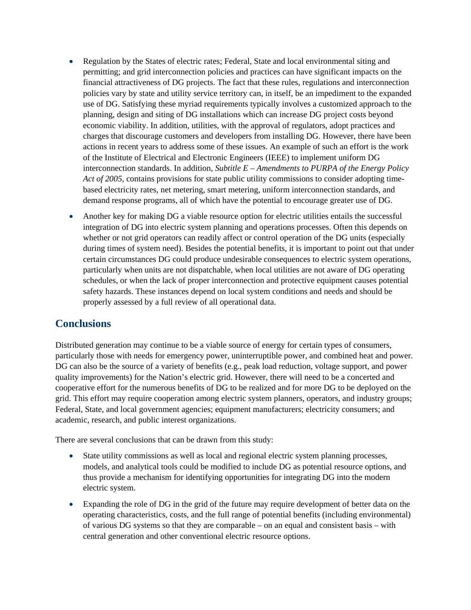- Regulation by the States of electric rates; Federal, State and local environmental siting and permitting; and grid interconnection policies and practices can have significant impacts on the financial attractiveness of DG projects. The fact that these rules, regulations and interconnection policies vary by state and utility service territory can, in itself, be an impediment to the expanded use of DG. Satisfying these myriad requirements typically involves a customized approach to the planning, design and siting of DG installations which can increase DG project costs beyond economic viability. In addition, utilities, with the approval of regulators, adopt practices and charges that discourage customers and developers from installing DG. However, there have been actions in recent years to address some of these issues. An example of such an effort is the work of the Institute of Electrical and Electronic Engineers (IEEE) to implement uniform DG interconnection standards. In addition, *Subtitle E – Amendments to PURPA of the Energy Policy Act of 2005,* contains provisions for state public utility commissions to consider adopting timebased electricity rates, net metering, smart metering, uniform interconnection standards, and demand response programs, all of which have the potential to encourage greater use of DG.
- Another key for making DG a viable resource option for electric utilities entails the successful integration of DG into electric system planning and operations processes. Often this depends on whether or not grid operators can readily affect or control operation of the DG units (especially during times of system need). Besides the potential benefits, it is important to point out that under certain circumstances DG could produce undesirable consequences to electric system operations, particularly when units are not dispatchable, when local utilities are not aware of DG operating schedules, or when the lack of proper interconnection and protective equipment causes potential safety hazards. These instances depend on local system conditions and needs and should be properly assessed by a full review of all operational data.

### **Conclusions**

Distributed generation may continue to be a viable source of energy for certain types of consumers, particularly those with needs for emergency power, uninterruptible power, and combined heat and power. DG can also be the source of a variety of benefits (e.g., peak load reduction, voltage support, and power quality improvements) for the Nation's electric grid. However, there will need to be a concerted and cooperative effort for the numerous benefits of DG to be realized and for more DG to be deployed on the grid. This effort may require cooperation among electric system planners, operators, and industry groups; Federal, State, and local government agencies; equipment manufacturers; electricity consumers; and academic, research, and public interest organizations.

There are several conclusions that can be drawn from this study:

- State utility commissions as well as local and regional electric system planning processes, models, and analytical tools could be modified to include DG as potential resource options, and thus provide a mechanism for identifying opportunities for integrating DG into the modern electric system.
- Expanding the role of DG in the grid of the future may require development of better data on the operating characteristics, costs, and the full range of potential benefits (including environmental) of various DG systems so that they are comparable – on an equal and consistent basis – with central generation and other conventional electric resource options.